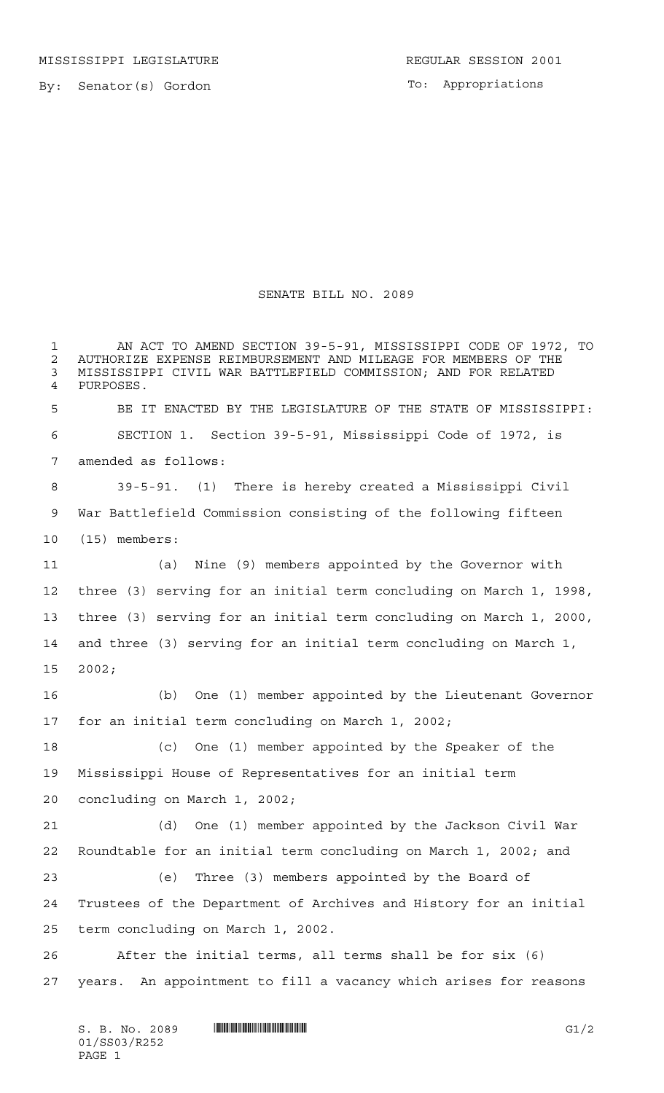MISSISSIPPI LEGISLATURE **REGULAR SESSION 2001** 

By: Senator(s) Gordon

To: Appropriations

## SENATE BILL NO. 2089

 AN ACT TO AMEND SECTION 39-5-91, MISSISSIPPI CODE OF 1972, TO 2 AUTHORIZE EXPENSE REIMBURSEMENT AND MILEAGE FOR MEMBERS OF THE<br>3 MISSISSIPPI CIVIL WAR BATTLEFIELD COMMISSION: AND FOR RELATED MISSISSIPPI CIVIL WAR BATTLEFIELD COMMISSION; AND FOR RELATED PURPOSES. BE IT ENACTED BY THE LEGISLATURE OF THE STATE OF MISSISSIPPI: SECTION 1. Section 39-5-91, Mississippi Code of 1972, is amended as follows: 39-5-91. (1) There is hereby created a Mississippi Civil War Battlefield Commission consisting of the following fifteen (15) members: (a) Nine (9) members appointed by the Governor with three (3) serving for an initial term concluding on March 1, 1998, three (3) serving for an initial term concluding on March 1, 2000, and three (3) serving for an initial term concluding on March 1, 2002; (b) One (1) member appointed by the Lieutenant Governor for an initial term concluding on March 1, 2002; (c) One (1) member appointed by the Speaker of the Mississippi House of Representatives for an initial term concluding on March 1, 2002; (d) One (1) member appointed by the Jackson Civil War Roundtable for an initial term concluding on March 1, 2002; and (e) Three (3) members appointed by the Board of Trustees of the Department of Archives and History for an initial term concluding on March 1, 2002. After the initial terms, all terms shall be for six (6) years. An appointment to fill a vacancy which arises for reasons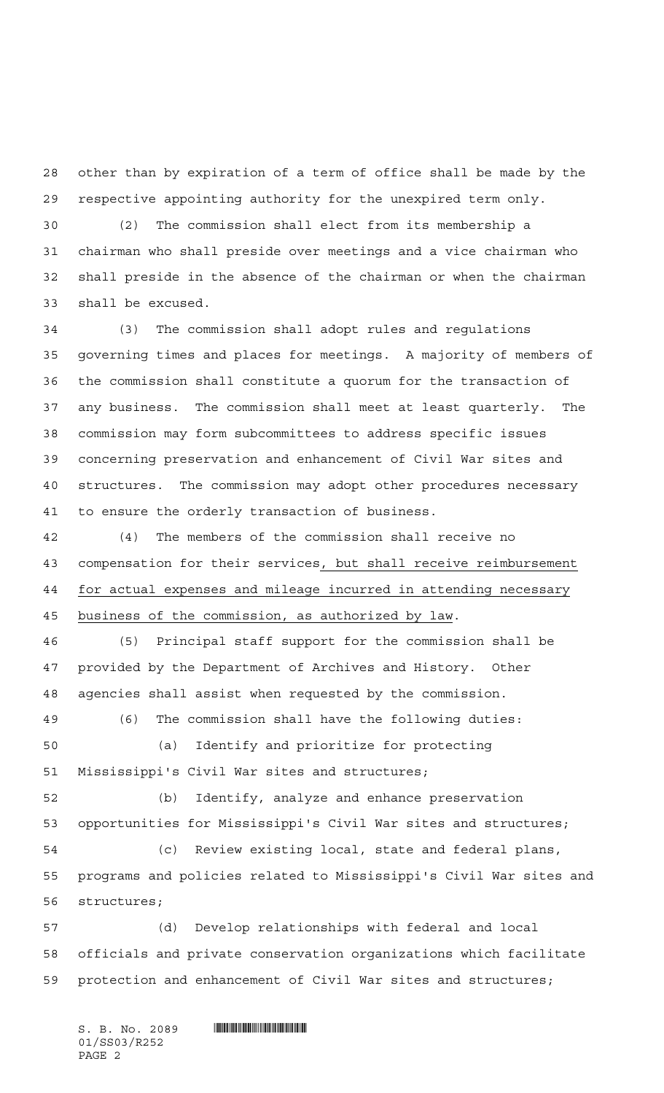other than by expiration of a term of office shall be made by the respective appointing authority for the unexpired term only.

 (2) The commission shall elect from its membership a chairman who shall preside over meetings and a vice chairman who shall preside in the absence of the chairman or when the chairman shall be excused.

 (3) The commission shall adopt rules and regulations governing times and places for meetings. A majority of members of the commission shall constitute a quorum for the transaction of any business. The commission shall meet at least quarterly. The commission may form subcommittees to address specific issues concerning preservation and enhancement of Civil War sites and structures. The commission may adopt other procedures necessary to ensure the orderly transaction of business.

 (4) The members of the commission shall receive no compensation for their services, but shall receive reimbursement for actual expenses and mileage incurred in attending necessary business of the commission, as authorized by law.

 (5) Principal staff support for the commission shall be provided by the Department of Archives and History. Other agencies shall assist when requested by the commission.

 (6) The commission shall have the following duties: (a) Identify and prioritize for protecting Mississippi's Civil War sites and structures;

 (b) Identify, analyze and enhance preservation opportunities for Mississippi's Civil War sites and structures; (c) Review existing local, state and federal plans, programs and policies related to Mississippi's Civil War sites and

 (d) Develop relationships with federal and local officials and private conservation organizations which facilitate protection and enhancement of Civil War sites and structures;

 $S.$  B. No. 2089  $\blacksquare$ 01/SS03/R252 PAGE 2

structures;